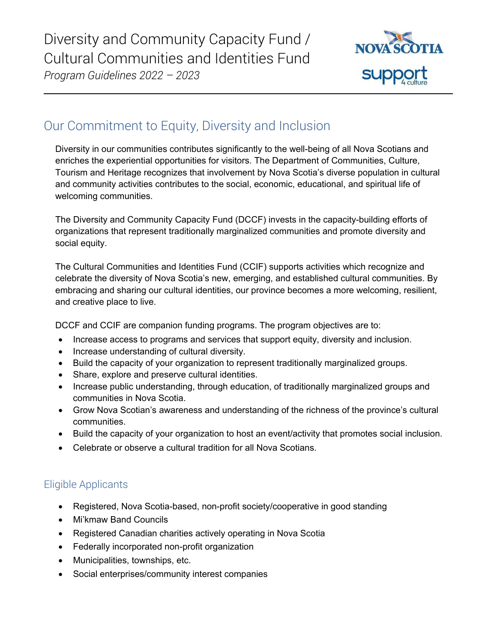

# Our Commitment to Equity, Diversity and Inclusion

Diversity in our communities contributes significantly to the well-being of all Nova Scotians and enriches the experiential opportunities for visitors. The Department of Communities, Culture, Tourism and Heritage recognizes that involvement by Nova Scotia's diverse population in cultural and community activities contributes to the social, economic, educational, and spiritual life of welcoming communities.

The Diversity and Community Capacity Fund (DCCF) invests in the capacity-building efforts of organizations that represent traditionally marginalized communities and promote diversity and social equity.

The Cultural Communities and Identities Fund (CCIF) supports activities which recognize and celebrate the diversity of Nova Scotia's new, emerging, and established cultural communities. By embracing and sharing our cultural identities, our province becomes a more welcoming, resilient, and creative place to live.

DCCF and CCIF are companion funding programs. The program objectives are to:

- Increase access to programs and services that support equity, diversity and inclusion.
- Increase understanding of cultural diversity.
- Build the capacity of your organization to represent traditionally marginalized groups.
- Share, explore and preserve cultural identities.
- Increase public understanding, through education, of traditionally marginalized groups and communities in Nova Scotia.
- Grow Nova Scotian's awareness and understanding of the richness of the province's cultural communities.
- Build the capacity of your organization to host an event/activity that promotes social inclusion.
- Celebrate or observe a cultural tradition for all Nova Scotians.

## Eligible Applicants

- Registered, Nova Scotia-based, non-profit society/cooperative in good standing
- Mi'kmaw Band Councils
- Registered Canadian charities actively operating in Nova Scotia
- Federally incorporated non-profit organization
- Municipalities, townships, etc.
- Social enterprises/community interest companies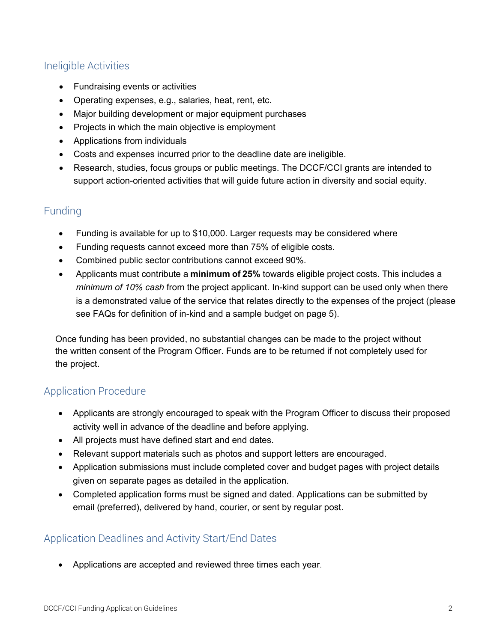### Ineligible Activities

- Fundraising events or activities
- Operating expenses, e.g., salaries, heat, rent, etc.
- Major building development or major equipment purchases
- Projects in which the main objective is employment
- Applications from individuals
- Costs and expenses incurred prior to the deadline date are ineligible.
- Research, studies, focus groups or public meetings. The DCCF/CCI grants are intended to support action-oriented activities that will guide future action in diversity and social equity.

### Funding

- Funding is available for up to \$10,000. Larger requests may be considered where
- Funding requests cannot exceed more than 75% of eligible costs.
- Combined public sector contributions cannot exceed 90%.
- Applicants must contribute a **minimum of 25%** towards eligible project costs. This includes a *minimum of 10% cash* from the project applicant. In-kind support can be used only when there is a demonstrated value of the service that relates directly to the expenses of the project (please see FAQs for definition of in-kind and a sample budget on page 5).

Once funding has been provided, no substantial changes can be made to the project without the written consent of the Program Officer. Funds are to be returned if not completely used for the project.

### Application Procedure

- Applicants are strongly encouraged to speak with the Program Officer to discuss their proposed activity well in advance of the deadline and before applying.
- All projects must have defined start and end dates.
- Relevant support materials such as photos and support letters are encouraged.
- Application submissions must include completed cover and budget pages with project details given on separate pages as detailed in the application.
- Completed application forms must be signed and dated. Applications can be submitted by email (preferred), delivered by hand, courier, or sent by regular post.

### Application Deadlines and Activity Start/End Dates

• Applications are accepted and reviewed three times each year.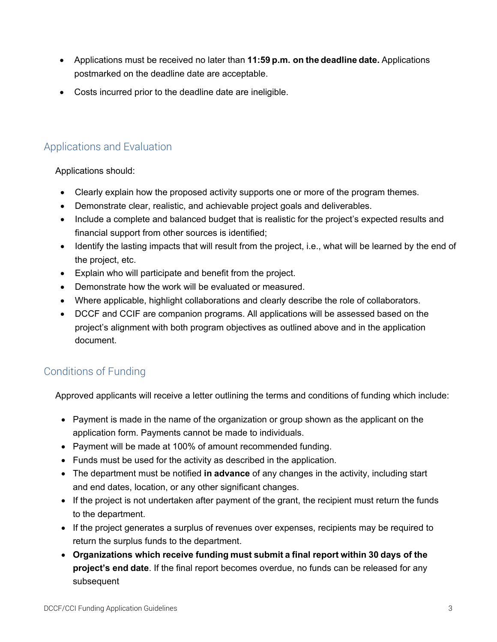- Applications must be received no later than **11:59 p.m. on the deadline date.** Applications postmarked on the deadline date are acceptable.
- Costs incurred prior to the deadline date are ineligible.

## Applications and Evaluation

Applications should:

- Clearly explain how the proposed activity supports one or more of the program themes.
- Demonstrate clear, realistic, and achievable project goals and deliverables.
- Include a complete and balanced budget that is realistic for the project's expected results and financial support from other sources is identified;
- Identify the lasting impacts that will result from the project, i.e., what will be learned by the end of the project, etc.
- Explain who will participate and benefit from the project.
- Demonstrate how the work will be evaluated or measured.
- Where applicable, highlight collaborations and clearly describe the role of collaborators.
- DCCF and CCIF are companion programs. All applications will be assessed based on the project's alignment with both program objectives as outlined above and in the application document.

### Conditions of Funding

Approved applicants will receive a letter outlining the terms and conditions of funding which include:

- Payment is made in the name of the organization or group shown as the applicant on the application form. Payments cannot be made to individuals.
- Payment will be made at 100% of amount recommended funding.
- Funds must be used for the activity as described in the application.
- The department must be notified **in advance** of any changes in the activity, including start and end dates, location, or any other significant changes.
- If the project is not undertaken after payment of the grant, the recipient must return the funds to the department.
- If the project generates a surplus of revenues over expenses, recipients may be required to return the surplus funds to the department.
- **Organizations which receive funding must submit a final report within 30 days of the project's end date**. If the final report becomes overdue, no funds can be released for any subsequent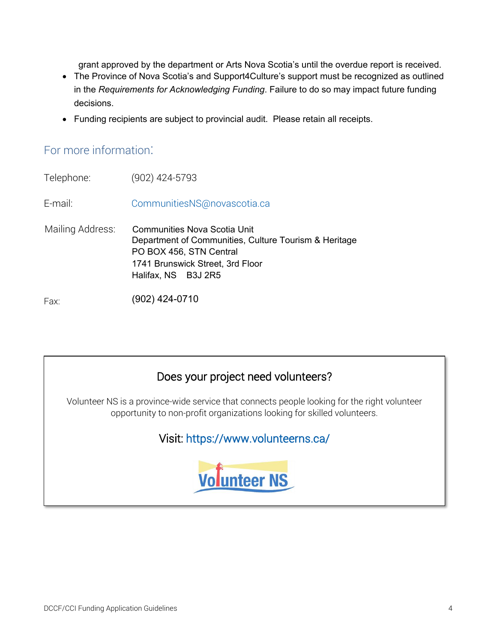grant approved by the department or Arts Nova Scotia's until the overdue report is received.

- The Province of Nova Scotia's and Support4Culture's support must be recognized as outlined in the *Requirements for Acknowledging Funding*. Failure to do so may impact future funding decisions.
- Funding recipients are subject to provincial audit. Please retain all receipts.

## For more information:

Telephone: (902) 424-5793 E-mail: [CommunitiesNS@novascotia.ca](mailto:CommunitiesNS@novascotia.ca) Mailing Address: Communities Nova Scotia Unit Department of Communities, Culture Tourism & Heritage PO BOX 456, STN Central 1741 Brunswick Street, 3rd Floor Halifax, NS B3J 2R5

Fax: (902) 424-0710

## Does your project need volunteers?

Volunteer NS is a province-wide service that connects people looking for the right volunteer opportunity to non-profit organizations looking for skilled volunteers.

## Visit:<https://www.volunteerns.ca/>

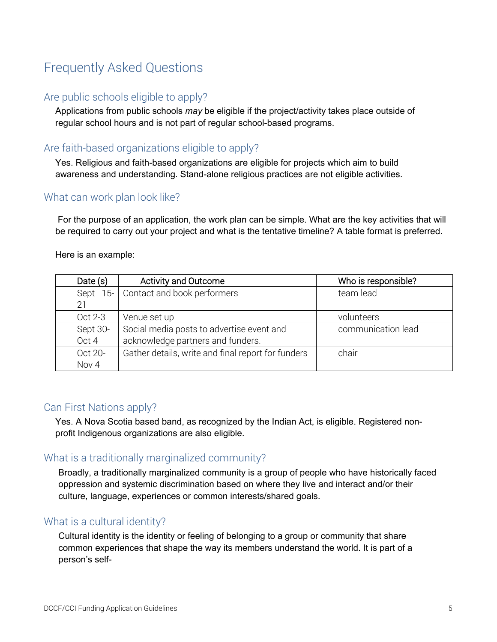# Frequently Asked Questions

### Are public schools eligible to apply?

Applications from public schools *may* be eligible if the project/activity takes place outside of regular school hours and is not part of regular school-based programs.

### Are faith-based organizations eligible to apply?

Yes. Religious and faith-based organizations are eligible for projects which aim to build awareness and understanding. Stand-alone religious practices are not eligible activities.

#### What can work plan look like?

For the purpose of an application, the work plan can be simple. What are the key activities that will be required to carry out your project and what is the tentative timeline? A table format is preferred.

Here is an example:

| Date $(s)$   | <b>Activity and Outcome</b>                        | Who is responsible? |  |
|--------------|----------------------------------------------------|---------------------|--|
| . 5-<br>Sept | Contact and book performers                        | team lead           |  |
| 21           |                                                    |                     |  |
| Oct 2-3      | Venue set up                                       | volunteers          |  |
| Sept 30-     | Social media posts to advertise event and          | communication lead  |  |
| Oct 4        | acknowledge partners and funders.                  |                     |  |
| Oct 20-      | Gather details, write and final report for funders | chair               |  |
| Nov 4        |                                                    |                     |  |

#### Can First Nations apply?

Yes. A Nova Scotia based band, as recognized by the Indian Act, is eligible. Registered nonprofit Indigenous organizations are also eligible.

### What is a traditionally marginalized community?

Broadly, a traditionally marginalized community is a group of people who have historically faced oppression and systemic discrimination based on where they live and interact and/or their culture, language, experiences or common interests/shared goals.

### What is a cultural identity?

Cultural identity is the identity or feeling of belonging to a group or community that share common experiences that shape the way its members understand the world. It is part of a person's self